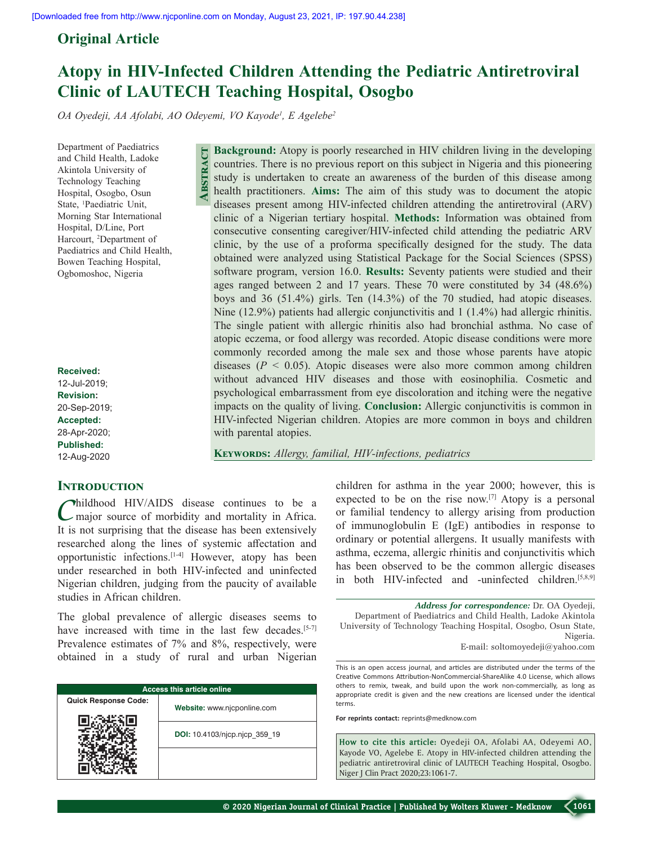# **Original Article**

# **Atopy in HIV-Infected Children Attending the Pediatric Antiretroviral Clinic of LAUTECH Teaching Hospital, Osogbo**

*OA Oyedeji, AA Afolabi, AO Odeyemi, VO Kayode1 , E Agelebe2*

**Abstract**

Department of Paediatrics and Child Health, Ladoke Akintola University of Technology Teaching Hospital, Osogbo, Osun State, 1 Paediatric  Unit, Morning Star International Hospital, D/Line, Port Harcourt, 2 Department of Paediatrics and Child Health, Bowen Teaching Hospital, Ogbomoshoc, Nigeria

**Received:** 12-Jul-2019; **Revision:** 20-Sep-2019; **Accepted:** 28-Apr-2020; **Published:** 12-Aug-2020

# **Introduction**

Childhood HIV/AIDS disease continues to be a major source of morbidity and mortality in Africa. It is not surprising that the disease has been extensively researched along the lines of systemic affectation and opportunistic infections.[1‑4] However, atopy has been under researched in both HIV‑infected and uninfected Nigerian children, judging from the paucity of available studies in African children.

The global prevalence of allergic diseases seems to have increased with time in the last few decades.<sup>[5-7]</sup> Prevalence estimates of 7% and 8%, respectively, were obtained in a study of rural and urban Nigerian

| <b>Access this article online</b> |                               |  |  |
|-----------------------------------|-------------------------------|--|--|
| <b>Quick Response Code:</b>       | Website: www.njcponline.com   |  |  |
|                                   | DOI: 10.4103/njcp.njcp 359 19 |  |  |
|                                   |                               |  |  |

**Background:** Atopy is poorly researched in HIV children living in the developing countries. There is no previous report on this subject in Nigeria and this pioneering study is undertaken to create an awareness of the burden of this disease among health practitioners. **Aims:** The aim of this study was to document the atopic diseases present among HIV‑infected children attending the antiretroviral (ARV) clinic of a Nigerian tertiary hospital. **Methods:** Information was obtained from consecutive consenting caregiver/HIV‑infected child attending the pediatric ARV clinic, by the use of a proforma specifically designed for the study. The data obtained were analyzed using Statistical Package for the Social Sciences (SPSS) software program, version 16.0. **Results:** Seventy patients were studied and their ages ranged between 2 and 17 years. These 70 were constituted by 34 (48.6%) boys and 36 (51.4%) girls. Ten (14.3%) of the 70 studied, had atopic diseases. Nine (12.9%) patients had allergic conjunctivitis and 1 (1.4%) had allergic rhinitis. The single patient with allergic rhinitis also had bronchial asthma. No case of atopic eczema, or food allergy was recorded. Atopic disease conditions were more commonly recorded among the male sex and those whose parents have atopic diseases (*P* < 0.05). Atopic diseases were also more common among children without advanced HIV diseases and those with eosinophilia. Cosmetic and psychological embarrassment from eye discoloration and itching were the negative impacts on the quality of living. **Conclusion:** Allergic conjunctivitis is common in HIV‑infected Nigerian children. Atopies are more common in boys and children with parental atopies.

**Keywords:** *Allergy, familial, HIV‑infections, pediatrics*

children for asthma in the year 2000; however, this is expected to be on the rise now.[7] Atopy is a personal or familial tendency to allergy arising from production of immunoglobulin E (IgE) antibodies in response to ordinary or potential allergens. It usually manifests with asthma, eczema, allergic rhinitis and conjunctivitis which has been observed to be the common allergic diseases in both HIV-infected and -uninfected children.<sup>[5,8,9]</sup>

*Address for correspondence:* Dr. OA Oyedeji, Department of Paediatrics and Child Health, Ladoke Akintola University of Technology Teaching Hospital, Osogbo, Osun State, Nigeria. E‑mail: soltomoyedeji@yahoo.com

This is an open access journal, and articles are distributed under the terms of the Creative Commons Attribution‑NonCommercial‑ShareAlike 4.0 License, which allows others to remix, tweak, and build upon the work non‑commercially, as long as appropriate credit is given and the new creations are licensed under the identical terms.

**For reprints contact:** reprints@medknow.com

**How to cite this article:** Oyedeji OA, Afolabi AA, Odeyemi AO, Kayode VO, Agelebe E. Atopy in HIV-infected children attending the pediatric antiretroviral clinic of LAUTECH Teaching Hospital, Osogbo. Niger J Clin Pract 2020;23:1061-7.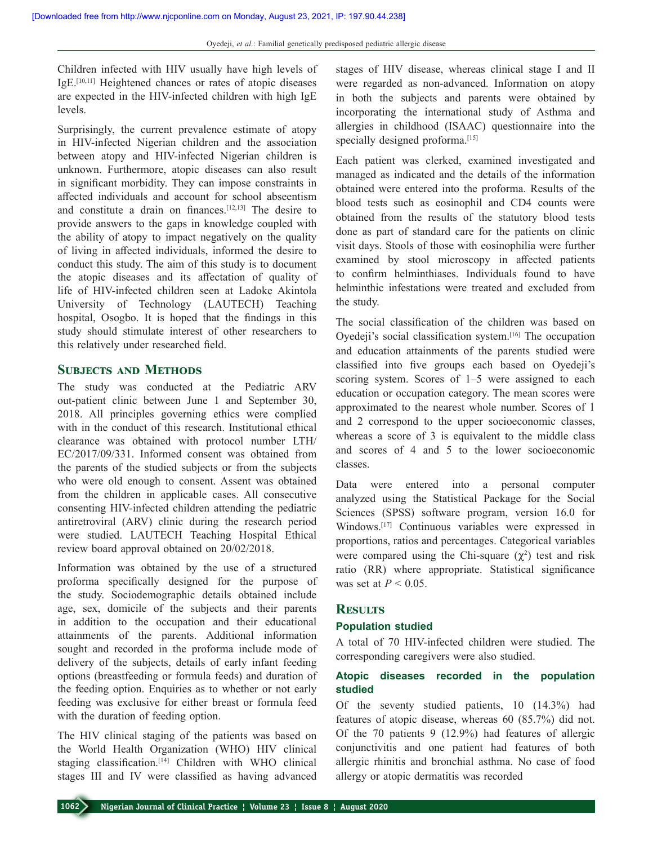Children infected with HIV usually have high levels of IgE.[10,11] Heightened chances or rates of atopic diseases are expected in the HIV‑infected children with high IgE levels.

Surprisingly, the current prevalence estimate of atopy in HIV‑infected Nigerian children and the association between atopy and HIV-infected Nigerian children is unknown. Furthermore, atopic diseases can also result in significant morbidity. They can impose constraints in affected individuals and account for school abseentism and constitute a drain on finances.[12,13] The desire to provide answers to the gaps in knowledge coupled with the ability of atopy to impact negatively on the quality of living in affected individuals, informed the desire to conduct this study. The aim of this study is to document the atopic diseases and its affectation of quality of life of HIV‑infected children seen at Ladoke Akintola University of Technology (LAUTECH) Teaching hospital, Osogbo. It is hoped that the findings in this study should stimulate interest of other researchers to this relatively under researched field.

# **Subjects and Methods**

The study was conducted at the Pediatric ARV out-patient clinic between June 1 and September 30, 2018. All principles governing ethics were complied with in the conduct of this research. Institutional ethical clearance was obtained with protocol number LTH/ EC/2017/09/331. Informed consent was obtained from the parents of the studied subjects or from the subjects who were old enough to consent. Assent was obtained from the children in applicable cases. All consecutive consenting HIV‑infected children attending the pediatric antiretroviral (ARV) clinic during the research period were studied. LAUTECH Teaching Hospital Ethical review board approval obtained on 20/02/2018.

Information was obtained by the use of a structured proforma specifically designed for the purpose of the study. Sociodemographic details obtained include age, sex, domicile of the subjects and their parents in addition to the occupation and their educational attainments of the parents. Additional information sought and recorded in the proforma include mode of delivery of the subjects, details of early infant feeding options (breastfeeding or formula feeds) and duration of the feeding option. Enquiries as to whether or not early feeding was exclusive for either breast or formula feed with the duration of feeding option.

The HIV clinical staging of the patients was based on the World Health Organization (WHO) HIV clinical staging classification.<sup>[14]</sup> Children with WHO clinical stages III and IV were classified as having advanced stages of HIV disease, whereas clinical stage I and II were regarded as non-advanced. Information on atopy in both the subjects and parents were obtained by incorporating the international study of Asthma and allergies in childhood (ISAAC) questionnaire into the specially designed proforma.<sup>[15]</sup>

Each patient was clerked, examined investigated and managed as indicated and the details of the information obtained were entered into the proforma. Results of the blood tests such as eosinophil and CD4 counts were obtained from the results of the statutory blood tests done as part of standard care for the patients on clinic visit days. Stools of those with eosinophilia were further examined by stool microscopy in affected patients to confirm helminthiases. Individuals found to have helminthic infestations were treated and excluded from the study.

The social classification of the children was based on Oyedeji's social classification system.[16] The occupation and education attainments of the parents studied were classified into five groups each based on Oyedeji's scoring system. Scores of 1–5 were assigned to each education or occupation category. The mean scores were approximated to the nearest whole number. Scores of 1 and 2 correspond to the upper socioeconomic classes, whereas a score of 3 is equivalent to the middle class and scores of 4 and 5 to the lower socioeconomic classes.

Data were entered into a personal computer analyzed using the Statistical Package for the Social Sciences (SPSS) software program, version 16.0 for Windows.[17] Continuous variables were expressed in proportions, ratios and percentages. Categorical variables were compared using the Chi-square  $(\chi^2)$  test and risk ratio (RR) where appropriate. Statistical significance was set at  $P < 0.05$ .

# **Results**

## **Population studied**

A total of 70 HIV‑infected children were studied. The corresponding caregivers were also studied.

# **Atopic diseases recorded in the population studied**

Of the seventy studied patients, 10 (14.3%) had features of atopic disease, whereas 60 (85.7%) did not. Of the 70 patients 9 (12.9%) had features of allergic conjunctivitis and one patient had features of both allergic rhinitis and bronchial asthma. No case of food allergy or atopic dermatitis was recorded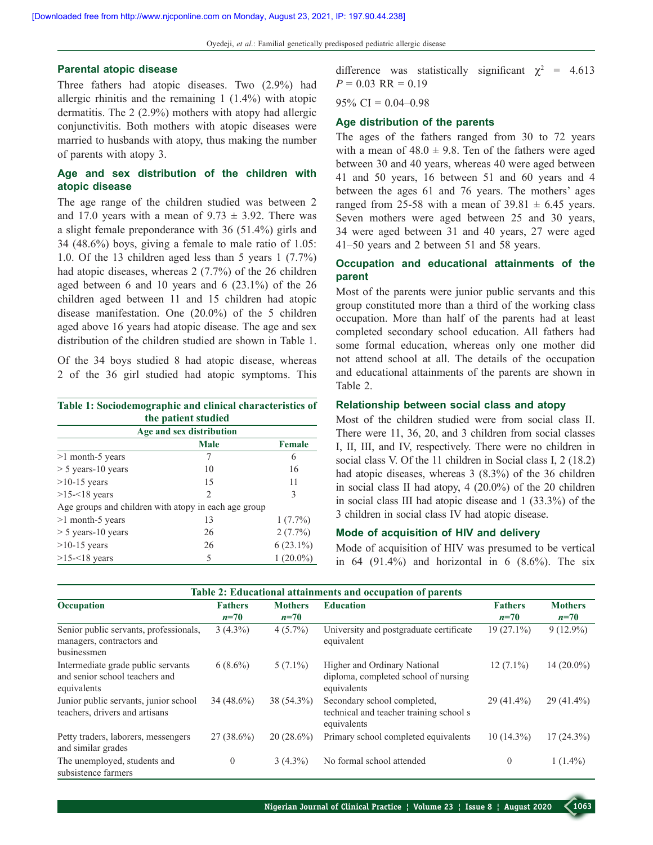Oyedeji, *et al*.: Familial genetically predisposed pediatric allergic disease

#### **Parental atopic disease**

Three fathers had atopic diseases. Two (2.9%) had allergic rhinitis and the remaining 1 (1.4%) with atopic dermatitis. The 2 (2.9%) mothers with atopy had allergic conjunctivitis. Both mothers with atopic diseases were married to husbands with atopy, thus making the number of parents with atopy 3.

## **Age and sex distribution of the children with atopic disease**

The age range of the children studied was between 2 and 17.0 years with a mean of  $9.73 \pm 3.92$ . There was a slight female preponderance with 36 (51.4%) girls and 34 (48.6%) boys, giving a female to male ratio of 1.05: 1.0. Of the 13 children aged less than 5 years 1 (7.7%) had atopic diseases, whereas 2 (7.7%) of the 26 children aged between 6 and 10 years and 6 (23.1%) of the 26 children aged between 11 and 15 children had atopic disease manifestation. One (20.0%) of the 5 children aged above 16 years had atopic disease. The age and sex distribution of the children studied are shown in Table 1.

Of the 34 boys studied 8 had atopic disease, whereas 2 of the 36 girl studied had atopic symptoms. This

| Table 1: Sociodemographic and clinical characteristics of |  |
|-----------------------------------------------------------|--|
| the patient studied                                       |  |

| Age and sex distribution                             |                |               |  |  |  |
|------------------------------------------------------|----------------|---------------|--|--|--|
|                                                      | <b>Male</b>    | <b>Female</b> |  |  |  |
| $>1$ month-5 years                                   | 7              | 6             |  |  |  |
| $> 5$ years-10 years                                 | 10             | 16            |  |  |  |
| $>10-15$ years                                       | 15             | 11            |  |  |  |
| $>15-18$ years                                       | $\mathfrak{D}$ | 3             |  |  |  |
| Age groups and children with atopy in each age group |                |               |  |  |  |
| $>1$ month-5 years                                   | 13             | $1(7.7\%)$    |  |  |  |
| $> 5$ years-10 years                                 | 26             | $2(7.7\%)$    |  |  |  |
| $>10-15$ years                                       | 26             | $6(23.1\%)$   |  |  |  |
| $>15 - 18$ years                                     | 5              | $(20.0\%)$    |  |  |  |

difference was statistically significant  $\chi^2$  = 4.613  $P = 0.03$  RR = 0.19

 $95\% \text{ CI} = 0.04 - 0.98$ 

## **Age distribution of the parents**

The ages of the fathers ranged from 30 to 72 years with a mean of  $48.0 \pm 9.8$ . Ten of the fathers were aged between 30 and 40 years, whereas 40 were aged between 41 and 50 years, 16 between 51 and 60 years and 4 between the ages 61 and 76 years. The mothers' ages ranged from 25-58 with a mean of  $39.81 \pm 6.45$  years. Seven mothers were aged between 25 and 30 years, 34 were aged between 31 and 40 years, 27 were aged 41–50 years and 2 between 51 and 58 years.

# **Occupation and educational attainments of the parent**

Most of the parents were junior public servants and this group constituted more than a third of the working class occupation. More than half of the parents had at least completed secondary school education. All fathers had some formal education, whereas only one mother did not attend school at all. The details of the occupation and educational attainments of the parents are shown in Table 2.

#### **Relationship between social class and atopy**

Most of the children studied were from social class II. There were 11, 36, 20, and 3 children from social classes I, II, III, and IV, respectively. There were no children in social class V. Of the 11 children in Social class I, 2 (18.2) had atopic diseases, whereas 3 (8.3%) of the 36 children in social class II had atopy, 4 (20.0%) of the 20 children in social class III had atopic disease and 1 (33.3%) of the 3 children in social class IV had atopic disease.

## **Mode of acquisition of HIV and delivery**

Mode of acquisition of HIV was presumed to be vertical in  $64$   $(91.4\%)$  and horizontal in 6  $(8.6\%)$ . The six

| Table 2: Educational attainments and occupation of parents                          |                          |                          |                                                                                       |                          |                          |
|-------------------------------------------------------------------------------------|--------------------------|--------------------------|---------------------------------------------------------------------------------------|--------------------------|--------------------------|
| Occupation                                                                          | <b>Fathers</b><br>$n=70$ | <b>Mothers</b><br>$n=70$ | <b>Education</b>                                                                      | <b>Fathers</b><br>$n=70$ | <b>Mothers</b><br>$n=70$ |
| Senior public servants, professionals,<br>managers, contractors and<br>businessmen  | $3(4.3\%)$               | $4(5.7\%)$               | University and postgraduate certificate<br>equivalent                                 | $19(27.1\%)$             | $9(12.9\%)$              |
| Intermediate grade public servants<br>and senior school teachers and<br>equivalents | $6(8.6\%)$               | $5(7.1\%)$               | Higher and Ordinary National<br>diploma, completed school of nursing<br>equivalents   | $12(7.1\%)$              | $14(20.0\%)$             |
| Junior public servants, junior school<br>teachers, drivers and artisans             | $34(48.6\%)$             | 38 (54.3%)               | Secondary school completed,<br>technical and teacher training school s<br>equivalents | $29(41.4\%)$             | $29(41.4\%)$             |
| Petty traders, laborers, messengers<br>and similar grades                           | $27(38.6\%)$             | $20(28.6\%)$             | Primary school completed equivalents                                                  | $10(14.3\%)$             | $17(24.3\%)$             |
| The unemployed, students and<br>subsistence farmers                                 | $\theta$                 | $3(4.3\%)$               | No formal school attended                                                             | $\Omega$                 | $1(1.4\%)$               |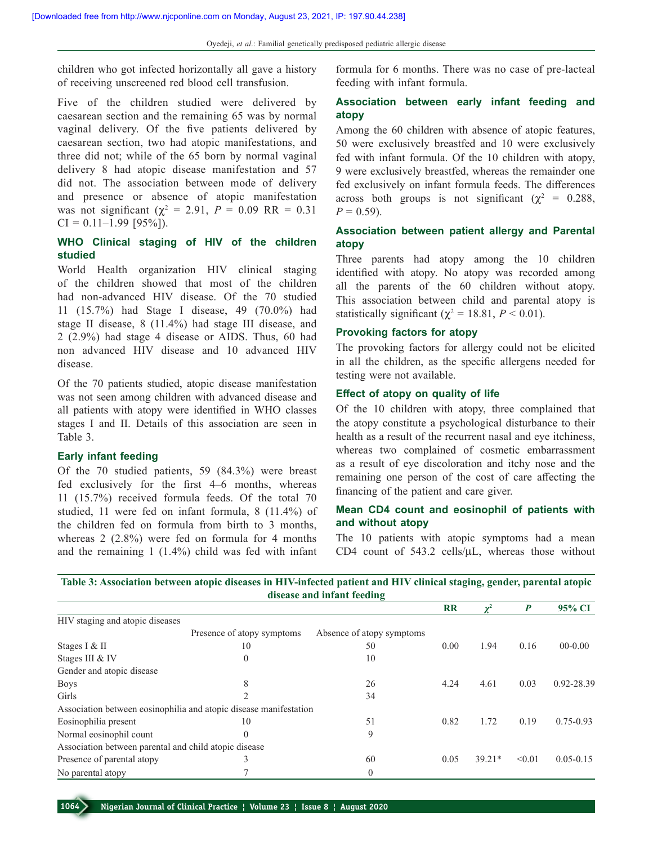children who got infected horizontally all gave a history of receiving unscreened red blood cell transfusion.

Five of the children studied were delivered by caesarean section and the remaining 65 was by normal vaginal delivery. Of the five patients delivered by caesarean section, two had atopic manifestations, and three did not; while of the 65 born by normal vaginal delivery 8 had atopic disease manifestation and 57 did not. The association between mode of delivery and presence or absence of atopic manifestation was not significant ( $\chi^2 = 2.91$ ,  $P = 0.09$  RR = 0.31  $CI = 0.11 - 1.99$  [95%]).

# **WHO Clinical staging of HIV of the children studied**

World Health organization HIV clinical staging of the children showed that most of the children had non-advanced HIV disease. Of the 70 studied 11 (15.7%) had Stage I disease, 49 (70.0%) had stage II disease, 8 (11.4%) had stage III disease, and 2 (2.9%) had stage 4 disease or AIDS. Thus, 60 had non advanced HIV disease and 10 advanced HIV disease.

Of the 70 patients studied, atopic disease manifestation was not seen among children with advanced disease and all patients with atopy were identified in WHO classes stages I and II. Details of this association are seen in Table 3.

## **Early infant feeding**

Of the 70 studied patients, 59 (84.3%) were breast fed exclusively for the first 4–6 months, whereas 11 (15.7%) received formula feeds. Of the total 70 studied, 11 were fed on infant formula, 8 (11.4%) of the children fed on formula from birth to 3 months, whereas 2 (2.8%) were fed on formula for 4 months and the remaining 1 (1.4%) child was fed with infant

formula for 6 months. There was no case of pre-lacteal feeding with infant formula.

# **Association between early infant feeding and atopy**

Among the 60 children with absence of atopic features, 50 were exclusively breastfed and 10 were exclusively fed with infant formula. Of the 10 children with atopy, 9 were exclusively breastfed, whereas the remainder one fed exclusively on infant formula feeds. The differences across both groups is not significant ( $\chi^2$  = 0.288,  $P = 0.59$ .

## **Association between patient allergy and Parental atopy**

Three parents had atopy among the 10 children identified with atopy. No atopy was recorded among all the parents of the 60 children without atopy. This association between child and parental atopy is statistically significant ( $\chi^2$  = 18.81, *P* < 0.01).

#### **Provoking factors for atopy**

The provoking factors for allergy could not be elicited in all the children, as the specific allergens needed for testing were not available.

#### **Effect of atopy on quality of life**

Of the 10 children with atopy, three complained that the atopy constitute a psychological disturbance to their health as a result of the recurrent nasal and eye itchiness, whereas two complained of cosmetic embarrassment as a result of eye discoloration and itchy nose and the remaining one person of the cost of care affecting the financing of the patient and care giver.

## **Mean CD4 count and eosinophil of patients with and without atopy**

The 10 patients with atopic symptoms had a mean CD4 count of 543.2 cells/ $\mu$ L, whereas those without

**Table 3: Association between atopic diseases in HIV-infected patient and HIV clinical staging, gender, parental atopic disease and infant feeding**

|                                                       |                                                                   |                           | $_{\rm RR}$ | $\gamma^2$ | $\boldsymbol{P}$ | 95% CI        |
|-------------------------------------------------------|-------------------------------------------------------------------|---------------------------|-------------|------------|------------------|---------------|
| HIV staging and atopic diseases                       |                                                                   |                           |             |            |                  |               |
|                                                       | Presence of atopy symptoms                                        | Absence of atopy symptoms |             |            |                  |               |
| Stages I & II                                         | 10                                                                | 50                        | 0.00        | 1.94       | 0.16             | $00-0.00$     |
| Stages III & IV                                       | $\theta$                                                          | 10                        |             |            |                  |               |
| Gender and atopic disease                             |                                                                   |                           |             |            |                  |               |
| <b>Boys</b>                                           | 8                                                                 | 26                        | 4.24        | 4.61       | 0.03             | 0.92-28.39    |
| Girls                                                 | $\mathfrak{D}$                                                    | 34                        |             |            |                  |               |
|                                                       | Association between eosinophilia and atopic disease manifestation |                           |             |            |                  |               |
| Eosinophilia present                                  | 10                                                                | 51                        | 0.82        | 1.72       | 0.19             | $0.75 - 0.93$ |
| Normal eosinophil count                               | $\theta$                                                          | 9                         |             |            |                  |               |
| Association between parental and child atopic disease |                                                                   |                           |             |            |                  |               |
| Presence of parental atopy                            | 3                                                                 | 60                        | 0.05        | $39.21*$   | < 0.01           | $0.05 - 0.15$ |
| No parental atopy                                     |                                                                   | $\theta$                  |             |            |                  |               |

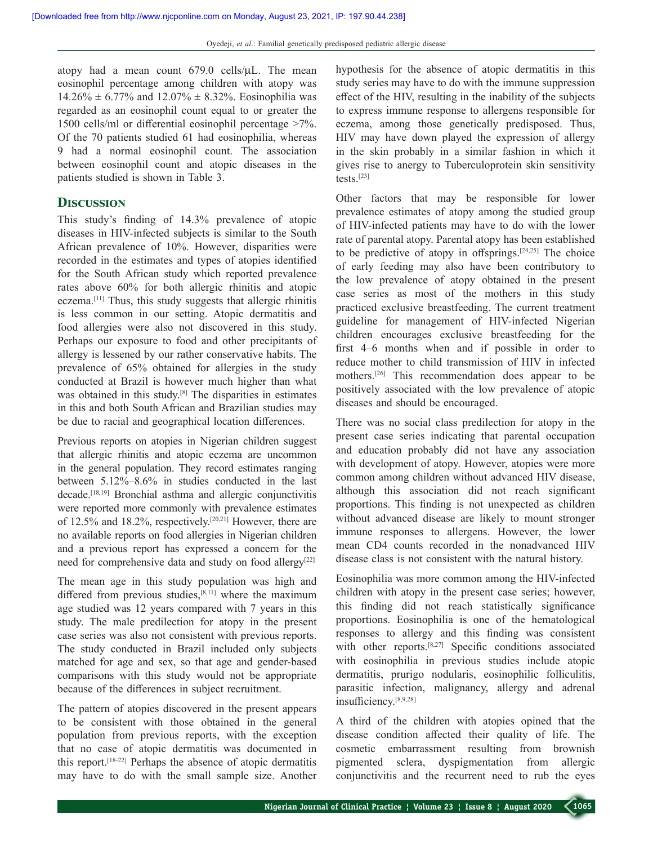atopy had a mean count 679.0 cells/µL. The mean eosinophil percentage among children with atopy was  $14.26\% \pm 6.77\%$  and  $12.07\% \pm 8.32\%$ . Eosinophilia was regarded as an eosinophil count equal to or greater the 1500 cells/ml or differential eosinophil percentage >7%. Of the 70 patients studied 61 had eosinophilia, whereas 9 had a normal eosinophil count. The association between eosinophil count and atopic diseases in the patients studied is shown in Table 3.

## **Discussion**

This study's finding of 14.3% prevalence of atopic diseases in HIV‑infected subjects is similar to the South African prevalence of 10%. However, disparities were recorded in the estimates and types of atopies identified for the South African study which reported prevalence rates above 60% for both allergic rhinitis and atopic eczema.[11] Thus, this study suggests that allergic rhinitis is less common in our setting. Atopic dermatitis and food allergies were also not discovered in this study. Perhaps our exposure to food and other precipitants of allergy is lessened by our rather conservative habits. The prevalence of 65% obtained for allergies in the study conducted at Brazil is however much higher than what was obtained in this study.<sup>[8]</sup> The disparities in estimates in this and both South African and Brazilian studies may be due to racial and geographical location differences.

Previous reports on atopies in Nigerian children suggest that allergic rhinitis and atopic eczema are uncommon in the general population. They record estimates ranging between 5.12%–8.6% in studies conducted in the last decade.[18,19] Bronchial asthma and allergic conjunctivitis were reported more commonly with prevalence estimates of 12.5% and 18.2%, respectively.[20,21] However, there are no available reports on food allergies in Nigerian children and a previous report has expressed a concern for the need for comprehensive data and study on food allergy<sup>[22]</sup>

The mean age in this study population was high and differed from previous studies,<sup>[8,11]</sup> where the maximum age studied was 12 years compared with 7 years in this study. The male predilection for atopy in the present case series was also not consistent with previous reports. The study conducted in Brazil included only subjects matched for age and sex, so that age and gender-based comparisons with this study would not be appropriate because of the differences in subject recruitment.

The pattern of atopies discovered in the present appears to be consistent with those obtained in the general population from previous reports, with the exception that no case of atopic dermatitis was documented in this report.[18‑22] Perhaps the absence of atopic dermatitis may have to do with the small sample size. Another

hypothesis for the absence of atopic dermatitis in this study series may have to do with the immune suppression effect of the HIV, resulting in the inability of the subjects to express immune response to allergens responsible for eczema, among those genetically predisposed. Thus, HIV may have down played the expression of allergy in the skin probably in a similar fashion in which it gives rise to anergy to Tuberculoprotein skin sensitivity tests.[23]

Other factors that may be responsible for lower prevalence estimates of atopy among the studied group of HIV‑infected patients may have to do with the lower rate of parental atopy. Parental atopy has been established to be predictive of atopy in offsprings.<sup>[24,25]</sup> The choice of early feeding may also have been contributory to the low prevalence of atopy obtained in the present case series as most of the mothers in this study practiced exclusive breastfeeding. The current treatment guideline for management of HIV‑infected Nigerian children encourages exclusive breastfeeding for the first 4–6 months when and if possible in order to reduce mother to child transmission of HIV in infected mothers.[26] This recommendation does appear to be positively associated with the low prevalence of atopic diseases and should be encouraged.

There was no social class predilection for atopy in the present case series indicating that parental occupation and education probably did not have any association with development of atopy. However, atopies were more common among children without advanced HIV disease, although this association did not reach significant proportions. This finding is not unexpected as children without advanced disease are likely to mount stronger immune responses to allergens. However, the lower mean CD4 counts recorded in the nonadvanced HIV disease class is not consistent with the natural history.

Eosinophilia was more common among the HIV‑infected children with atopy in the present case series; however, this finding did not reach statistically significance proportions. Eosinophilia is one of the hematological responses to allergy and this finding was consistent with other reports.<sup>[8,27]</sup> Specific conditions associated with eosinophilia in previous studies include atopic dermatitis, prurigo nodularis, eosinophilic folliculitis, parasitic infection, malignancy, allergy and adrenal insufficiency.[8,9,28]

A third of the children with atopies opined that the disease condition affected their quality of life. The cosmetic embarrassment resulting from brownish pigmented sclera, dyspigmentation from allergic conjunctivitis and the recurrent need to rub the eyes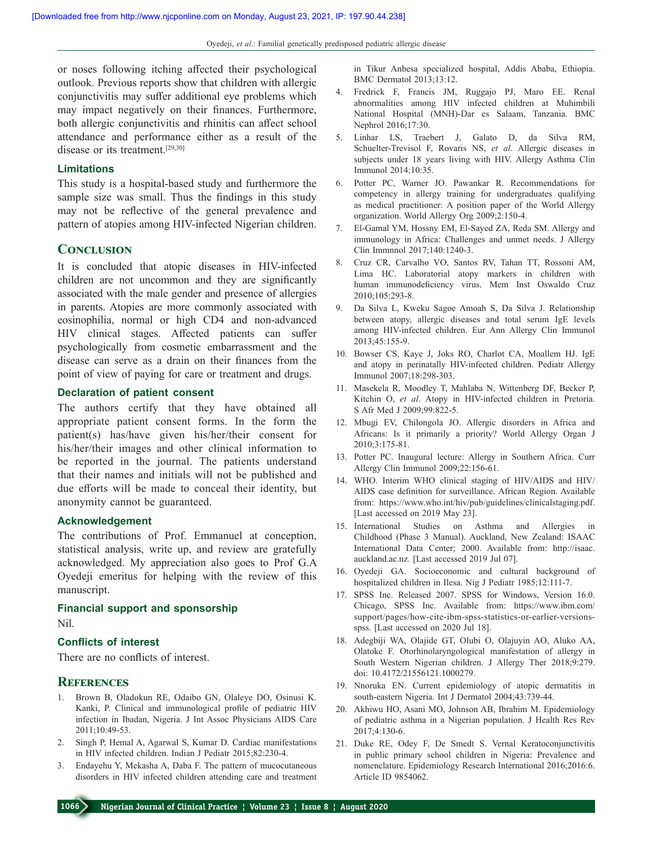or noses following itching affected their psychological outlook. Previous reports show that children with allergic conjunctivitis may suffer additional eye problems which may impact negatively on their finances. Furthermore, both allergic conjunctivitis and rhinitis can affect school attendance and performance either as a result of the disease or its treatment.[29,30]

## **Limitations**

This study is a hospital-based study and furthermore the sample size was small. Thus the findings in this study may not be reflective of the general prevalence and pattern of atopies among HIV‑infected Nigerian children.

#### **Conclusion**

It is concluded that atopic diseases in HIV-infected children are not uncommon and they are significantly associated with the male gender and presence of allergies in parents. Atopies are more commonly associated with eosinophilia, normal or high CD4 and non‑advanced HIV clinical stages. Affected patients can suffer psychologically from cosmetic embarrassment and the disease can serve as a drain on their finances from the point of view of paying for care or treatment and drugs.

#### **Declaration of patient  consent**

The authors certify that they have obtained all appropriate patient consent forms. In the form the patient(s) has/have given his/her/their consent for his/her/their images and other clinical information to be reported in the journal. The patients understand that their names and initials will not be published and due efforts will be made to conceal their identity, but anonymity cannot be guaranteed.

#### **Acknowledgement**

The contributions of Prof. Emmanuel at conception, statistical analysis, write up, and review are gratefully acknowledged. My appreciation also goes to Prof G.A Oyedeji emeritus for helping with the review of this manuscript.

#### **Financial support and sponsorship**

Nil.

## **Conflicts of interest**

There are no conflicts of interest.

# **References**

- 1. Brown B, Oladokun RE, Odaibo GN, Olaleye DO, Osinusi K. Kanki, P. Clinical and immunological profile of pediatric HIV infection in Ibadan, Nigeria. J Int Assoc Physicians AIDS Care 2011;10:49‑53.
- 2. Singh P, Hemal A, Agarwal S, Kumar D. Cardiac manifestations in HIV infected children. Indian J Pediatr 2015;82:230-4.
- 3. Endayehu Y, Mekasha A, Daba F. The pattern of mucocutaneous disorders in HIV infected children attending care and treatment

in Tikur Anbesa specialized hospital, Addis Ababa, Ethiopia. BMC Dermatol 2013;13:12.

- 4. Fredrick F, Francis JM, Ruggajo PJ, Maro EE. Renal abnormalities among HIV infected children at Muhimbili National Hospital (MNH)‑Dar es Salaam, Tanzania. BMC Nephrol 2016;17:30.
- 5. Linhar LS, Traebert J, Galato D, da Silva RM, Schuelter‑Trevisol F, Rovaris NS, *et al*. Allergic diseases in subjects under 18 years living with HIV. Allergy Asthma Clin Immunol 2014;10:35.
- 6. Potter PC, Warner JO. Pawankar R. Recommendations for competency in allergy training for undergraduates qualifying as medical practitioner: A position paper of the World Allergy organization. World Allergy Org 2009;2:150-4.
- 7. El‑Gamal YM, Hossny EM, El‑Sayed ZA, Reda SM. Allergy and immunology in Africa: Challenges and unmet needs. J Allergy Clin Immnnol 2017;140:1240‑3.
- 8. Cruz CR, Carvalho VO, Santos RV, Tahan TT, Rossoni AM, Lima HC. Laboratorial atopy markers in children with human immunodeficiency virus. Mem Inst Oswaldo Cruz 2010;105:293‑8.
- 9. Da Silva L, Kweku Sagoe Amoah S, Da Silva J. Relationship between atopy, allergic diseases and total serum IgE levels among HIV‑infected children. Eur Ann Allergy Clin Immunol 2013;45:155‑9.
- 10. Bowser CS, Kaye J, Joks RO, Charlot CA, Moallem HJ. IgE and atopy in perinatally HIV‑infected children. Pediatr Allergy Immunol 2007;18:298‑303.
- 11. Masekela R, Moodley T, Mahlaba N, Wittenberg DF, Becker P, Kitchin O, *et al*. Atopy in HIV‑infected children in Pretoria. S Afr Med J 2009;99:822‑5.
- 12. Mbugi EV, Chilongola JO. Allergic disorders in Africa and Africans: Is it primarily a priority? World Allergy Organ J 2010;3:175‑81.
- 13. Potter PC. Inaugural lecture: Allergy in Southern Africa. Curr Allergy Clin Immunol 2009;22:156‑61.
- 14. WHO. Interim WHO clinical staging of HIV/AIDS and HIV/ AIDS case definition for surveillance. African Region. Available from: https://www.who.int/hiv/pub/guidelines/clinicalstaging.pdf. [Last accessed on 2019 May 23].
- 15. International Studies on Asthma and Allergies in Childhood (Phase 3 Manual). Auckland, New Zealand: ISAAC International Data Center; 2000. Available from: http://isaac. auckland.ac.nz. [Last accessed 2019 Jul 07].
- 16. Oyedeji GA. Socioeconomic and cultural background of hospitalized children in Ilesa. Nig J Pediatr 1985;12:111-7.
- 17. SPSS Inc. Released 2007. SPSS for Windows, Version 16.0. Chicago, SPSS Inc. Available from: https://www.ibm.com/ support/pages/how-cite-ibm-spss-statistics-or-earlier-versionsspss. [Last accessed on 2020 Jul 18].
- 18. Adegbiji WA, Olajide GT, Olubi O, Olajuyin AO, Aluko AA, Olatoke F. Otorhinolaryngological manifestation of allergy in South Western Nigerian children. J Allergy Ther 2018;9:279. doi: 10.4172/21556121.1000279.
- 19. Nnoruka EN. Current epidemiology of atopic dermatitis in south-eastern Nigeria. Int J Dermatol 2004;43:739-44.
- 20. Akhiwu HO, Asani MO, Johnson AB, Ibrahim M. Epidemiology of pediatric asthma in a Nigerian population. J Health Res Rev 2017;4:130‑6.
- 21. Duke RE, Odey F, De Smedt S. Vernal Keratoconjunctivitis in public primary school children in Nigeria: Prevalence and nomenclature. Epidemiology Research International 2016;2016:6. Article ID 9854062.